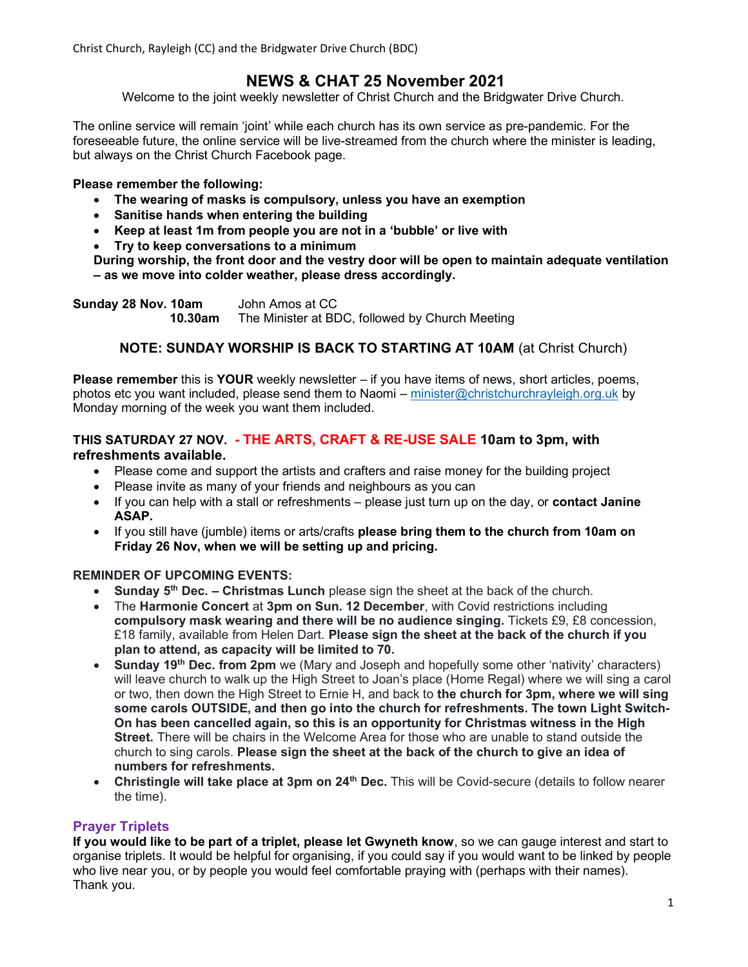Christ Church, Rayleigh (CC) and the Bridgwater Drive Church (BDC)

# NEWS & CHAT 25 November 2021

Welcome to the joint weekly newsletter of Christ Church and the Bridgwater Drive Church.

The online service will remain 'joint' while each church has its own service as pre-pandemic. For the foreseeable future, the online service will be live-streamed from the church where the minister is leading, but always on the Christ Church Facebook page.

## Please remember the following:

- The wearing of masks is compulsory, unless you have an exemption
- Sanitise hands when entering the building
- Keep at least 1m from people you are not in a 'bubble' or live with
- Try to keep conversations to a minimum
- During worship, the front door and the vestry door will be open to maintain adequate ventilation – as we move into colder weather, please dress accordingly.

Sunday 28 Nov. 10am John Amos at CC 10.30am The Minister at BDC, followed by Church Meeting

# NOTE: SUNDAY WORSHIP IS BACK TO STARTING AT 10AM (at Christ Church)

Please remember this is YOUR weekly newsletter – if you have items of news, short articles, poems, photos etc you want included, please send them to Naomi – minister@christchurchrayleigh.org.uk by Monday morning of the week you want them included.

## THIS SATURDAY 27 NOV. - THE ARTS, CRAFT & RE-USE SALE 10am to 3pm, with refreshments available.

- Please come and support the artists and crafters and raise money for the building project
- Please invite as many of your friends and neighbours as you can
- If you can help with a stall or refreshments please just turn up on the day, or contact Janine ASAP.
- If you still have (jumble) items or arts/crafts **please bring them to the church from 10am on** Friday 26 Nov, when we will be setting up and pricing.

#### REMINDER OF UPCOMING EVENTS:

- **Sunday 5<sup>th</sup> Dec. Christmas Lunch** please sign the sheet at the back of the church.
- The Harmonie Concert at 3pm on Sun. 12 December, with Covid restrictions including compulsory mask wearing and there will be no audience singing. Tickets £9, £8 concession, £18 family, available from Helen Dart. Please sign the sheet at the back of the church if you plan to attend, as capacity will be limited to 70.
- Sunday 19<sup>th</sup> Dec. from 2pm we (Mary and Joseph and hopefully some other 'nativity' characters) will leave church to walk up the High Street to Joan's place (Home Regal) where we will sing a carol or two, then down the High Street to Ernie H, and back to the church for 3pm, where we will sing some carols OUTSIDE, and then go into the church for refreshments. The town Light Switch-On has been cancelled again, so this is an opportunity for Christmas witness in the High Street. There will be chairs in the Welcome Area for those who are unable to stand outside the church to sing carols. Please sign the sheet at the back of the church to give an idea of numbers for refreshments.
- Christingle will take place at 3pm on 24<sup>th</sup> Dec. This will be Covid-secure (details to follow nearer the time).

#### Prayer Triplets

If you would like to be part of a triplet, please let Gwyneth know, so we can gauge interest and start to organise triplets. It would be helpful for organising, if you could say if you would want to be linked by people who live near you, or by people you would feel comfortable praying with (perhaps with their names). Thank you.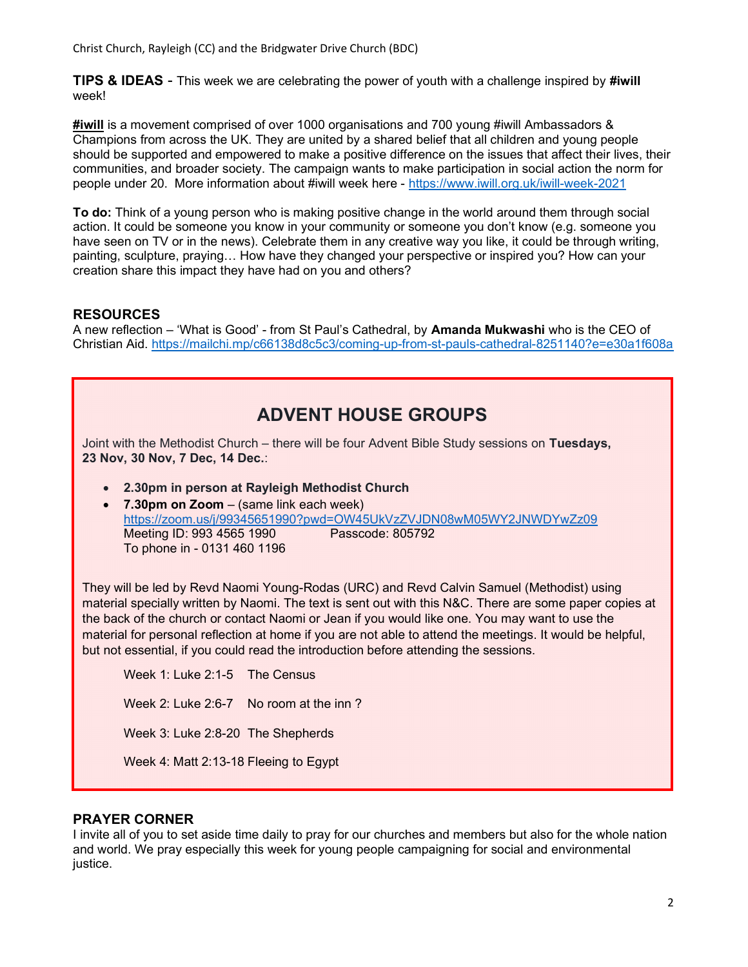Christ Church, Rayleigh (CC) and the Bridgwater Drive Church (BDC)

TIPS & IDEAS - This week we are celebrating the power of youth with a challenge inspired by #iwill week!

#iwill is a movement comprised of over 1000 organisations and 700 young #iwill Ambassadors & Champions from across the UK. They are united by a shared belief that all children and young people should be supported and empowered to make a positive difference on the issues that affect their lives, their communities, and broader society. The campaign wants to make participation in social action the norm for people under 20. More information about #iwill week here - https://www.iwill.org.uk/iwill-week-2021

**To do:** Think of a young person who is making positive change in the world around them through social action. It could be someone you know in your community or someone you don't know (e.g. someone you have seen on TV or in the news). Celebrate them in any creative way you like, it could be through writing, painting, sculpture, praying… How have they changed your perspective or inspired you? How can your creation share this impact they have had on you and others?

# RESOURCES

A new reflection – 'What is Good' - from St Paul's Cathedral, by Amanda Mukwashi who is the CEO of Christian Aid. https://mailchi.mp/c66138d8c5c3/coming-up-from-st-pauls-cathedral-8251140?e=e30a1f608a

| <b>ADVENT HOUSE GROUPS</b>                                                                                                                                                                                                                                                                                                                                                                                                                                                                                  |
|-------------------------------------------------------------------------------------------------------------------------------------------------------------------------------------------------------------------------------------------------------------------------------------------------------------------------------------------------------------------------------------------------------------------------------------------------------------------------------------------------------------|
| Joint with the Methodist Church – there will be four Advent Bible Study sessions on Tuesdays,<br>23 Nov, 30 Nov, 7 Dec, 14 Dec.:                                                                                                                                                                                                                                                                                                                                                                            |
| 2.30pm in person at Rayleigh Methodist Church<br>7.30pm on $Zoom - (same link each week)$<br>https://zoom.us/j/99345651990?pwd=OW45UkVzZVJDN08wM05WY2JNWDYwZz09                                                                                                                                                                                                                                                                                                                                             |
| Meeting ID: 993 4565 1990<br>Passcode: 805792<br>To phone in - 0131 460 1196                                                                                                                                                                                                                                                                                                                                                                                                                                |
| They will be led by Revd Naomi Young-Rodas (URC) and Revd Calvin Samuel (Methodist) using<br>material specially written by Naomi. The text is sent out with this N&C. There are some paper copies at<br>the back of the church or contact Naomi or Jean if you would like one. You may want to use the<br>material for personal reflection at home if you are not able to attend the meetings. It would be helpful,<br>but not essential, if you could read the introduction before attending the sessions. |
| Week 1: Luke 2:1-5 The Census                                                                                                                                                                                                                                                                                                                                                                                                                                                                               |
| Week 2: Luke 2:6-7 No room at the inn?                                                                                                                                                                                                                                                                                                                                                                                                                                                                      |
| Week 3: Luke 2:8-20 The Shepherds                                                                                                                                                                                                                                                                                                                                                                                                                                                                           |
| Week 4: Matt 2:13-18 Fleeing to Egypt                                                                                                                                                                                                                                                                                                                                                                                                                                                                       |

# PRAYER CORNER

I invite all of you to set aside time daily to pray for our churches and members but also for the whole nation and world. We pray especially this week for young people campaigning for social and environmental justice.